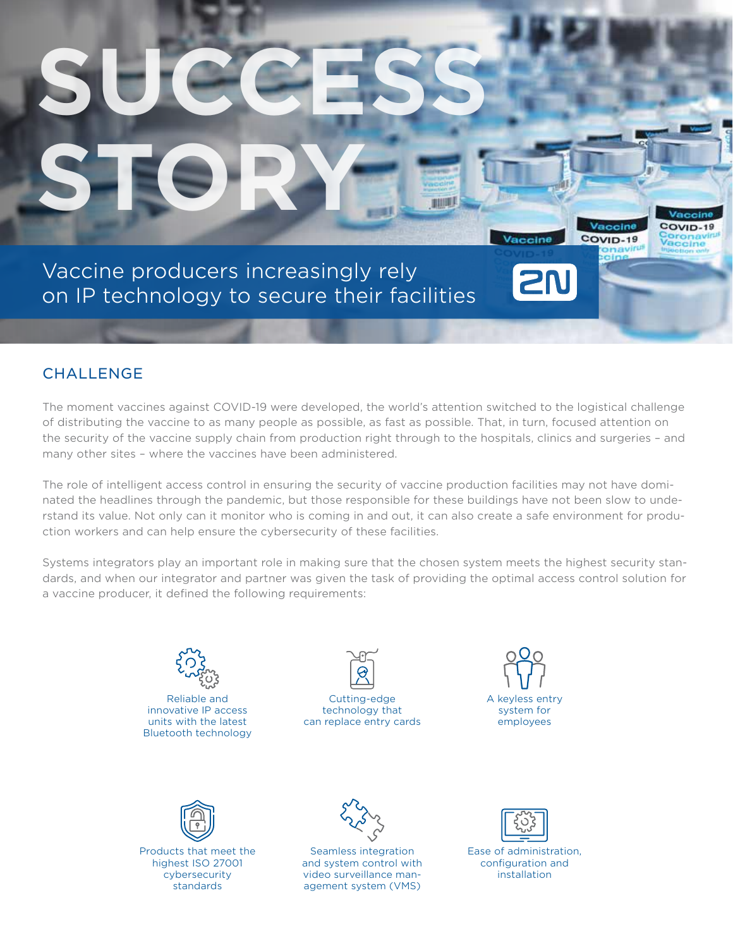# Vaccine producers increasingly rely on IP technology to secure their facilities

**STORY**

**SUCCESS**

# **CHALLENGE**

The moment vaccines against COVID-19 were developed, the world's attention switched to the logistical challenge of distributing the vaccine to as many people as possible, as fast as possible. That, in turn, focused attention on the security of the vaccine supply chain from production right through to the hospitals, clinics and surgeries – and many other sites – where the vaccines have been administered.

**BOOTAGE** 

Vaccine

COVID-19

Vaccine

**2N** 

COVID-19

ceine

The role of intelligent access control in ensuring the security of vaccine production facilities may not have dominated the headlines through the pandemic, but those responsible for these buildings have not been slow to understand its value. Not only can it monitor who is coming in and out, it can also create a safe environment for production workers and can help ensure the cybersecurity of these facilities.

Systems integrators play an important role in making sure that the chosen system meets the highest security standards, and when our integrator and partner was given the task of providing the optimal access control solution for a vaccine producer, it defined the following requirements:



Reliable and innovative IP access units with the latest Bluetooth technology



Cutting-edge technology that can replace entry cards





Products that meet the highest ISO 27001 cybersecurity standards



Seamless integration and system control with video surveillance management system (VMS)



Ease of administration, configuration and installation